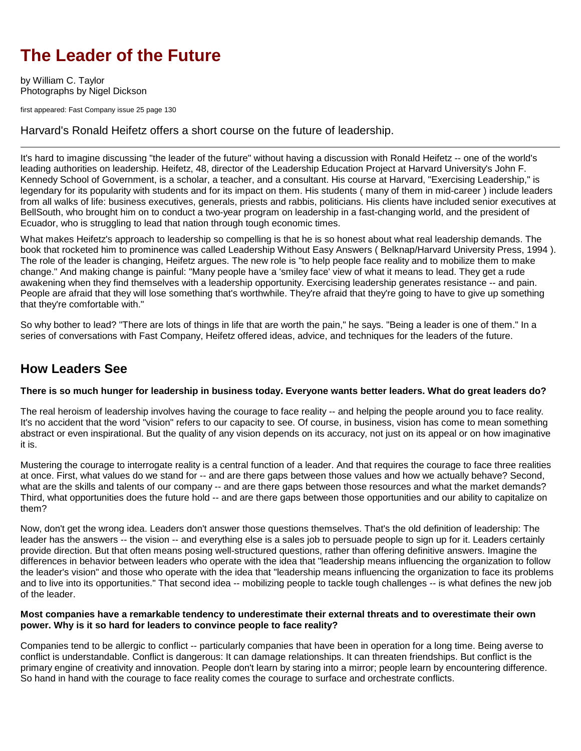# **The Leader of the Future**

by William C. Taylor Photographs by Nigel Dickson

first appeared: Fast Company issue 25 page 130

### Harvard's Ronald Heifetz offers a short course on the future of leadership.

It's hard to imagine discussing "the leader of the future" without having a discussion with Ronald Heifetz -- one of the world's leading authorities on leadership. Heifetz, 48, director of the Leadership Education Project at Harvard University's John F. Kennedy School of Government, is a scholar, a teacher, and a consultant. His course at Harvard, "Exercising Leadership," is legendary for its popularity with students and for its impact on them. His students ( many of them in mid-career ) include leaders from all walks of life: business executives, generals, priests and rabbis, politicians. His clients have included senior executives at BellSouth, who brought him on to conduct a two-year program on leadership in a fast-changing world, and the president of Ecuador, who is struggling to lead that nation through tough economic times.

What makes Heifetz's approach to leadership so compelling is that he is so honest about what real leadership demands. The book that rocketed him to prominence was called Leadership Without Easy Answers ( Belknap/Harvard University Press, 1994 ). The role of the leader is changing, Heifetz argues. The new role is "to help people face reality and to mobilize them to make change." And making change is painful: "Many people have a 'smiley face' view of what it means to lead. They get a rude awakening when they find themselves with a leadership opportunity. Exercising leadership generates resistance -- and pain. People are afraid that they will lose something that's worthwhile. They're afraid that they're going to have to give up something that they're comfortable with."

So why bother to lead? "There are lots of things in life that are worth the pain," he says. "Being a leader is one of them." In a series of conversations with Fast Company, Heifetz offered ideas, advice, and techniques for the leaders of the future.

# **How Leaders See**

### **There is so much hunger for leadership in business today. Everyone wants better leaders. What do great leaders do?**

The real heroism of leadership involves having the courage to face reality -- and helping the people around you to face reality. It's no accident that the word "vision" refers to our capacity to see. Of course, in business, vision has come to mean something abstract or even inspirational. But the quality of any vision depends on its accuracy, not just on its appeal or on how imaginative it is.

Mustering the courage to interrogate reality is a central function of a leader. And that requires the courage to face three realities at once. First, what values do we stand for -- and are there gaps between those values and how we actually behave? Second, what are the skills and talents of our company -- and are there gaps between those resources and what the market demands? Third, what opportunities does the future hold -- and are there gaps between those opportunities and our ability to capitalize on them?

Now, don't get the wrong idea. Leaders don't answer those questions themselves. That's the old definition of leadership: The leader has the answers -- the vision -- and everything else is a sales job to persuade people to sign up for it. Leaders certainly provide direction. But that often means posing well-structured questions, rather than offering definitive answers. Imagine the differences in behavior between leaders who operate with the idea that "leadership means influencing the organization to follow the leader's vision" and those who operate with the idea that "leadership means influencing the organization to face its problems and to live into its opportunities." That second idea -- mobilizing people to tackle tough challenges -- is what defines the new job of the leader.

#### **Most companies have a remarkable tendency to underestimate their external threats and to overestimate their own power. Why is it so hard for leaders to convince people to face reality?**

Companies tend to be allergic to conflict -- particularly companies that have been in operation for a long time. Being averse to conflict is understandable. Conflict is dangerous: It can damage relationships. It can threaten friendships. But conflict is the primary engine of creativity and innovation. People don't learn by staring into a mirror; people learn by encountering difference. So hand in hand with the courage to face reality comes the courage to surface and orchestrate conflicts.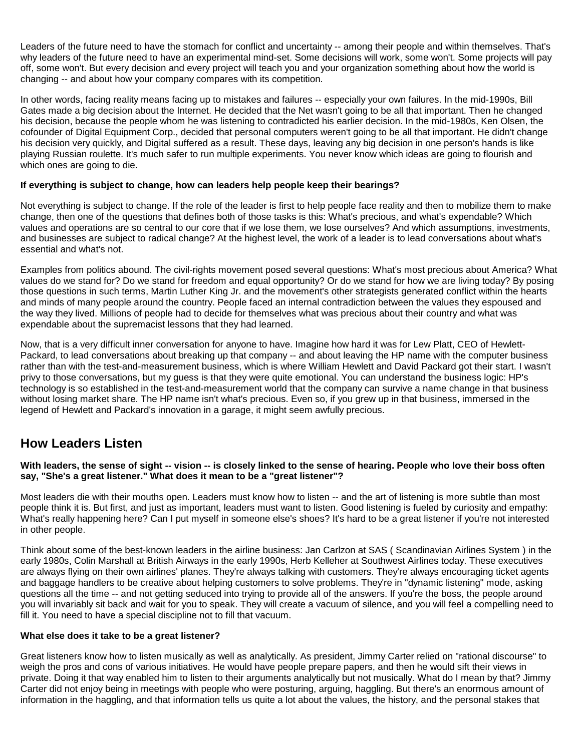Leaders of the future need to have the stomach for conflict and uncertainty -- among their people and within themselves. That's why leaders of the future need to have an experimental mind-set. Some decisions will work, some won't. Some projects will pay off, some won't. But every decision and every project will teach you and your organization something about how the world is changing -- and about how your company compares with its competition.

In other words, facing reality means facing up to mistakes and failures -- especially your own failures. In the mid-1990s, Bill Gates made a big decision about the Internet. He decided that the Net wasn't going to be all that important. Then he changed his decision, because the people whom he was listening to contradicted his earlier decision. In the mid-1980s, Ken Olsen, the cofounder of Digital Equipment Corp., decided that personal computers weren't going to be all that important. He didn't change his decision very quickly, and Digital suffered as a result. These days, leaving any big decision in one person's hands is like playing Russian roulette. It's much safer to run multiple experiments. You never know which ideas are going to flourish and which ones are going to die.

### **If everything is subject to change, how can leaders help people keep their bearings?**

Not everything is subject to change. If the role of the leader is first to help people face reality and then to mobilize them to make change, then one of the questions that defines both of those tasks is this: What's precious, and what's expendable? Which values and operations are so central to our core that if we lose them, we lose ourselves? And which assumptions, investments, and businesses are subject to radical change? At the highest level, the work of a leader is to lead conversations about what's essential and what's not.

Examples from politics abound. The civil-rights movement posed several questions: What's most precious about America? What values do we stand for? Do we stand for freedom and equal opportunity? Or do we stand for how we are living today? By posing those questions in such terms, Martin Luther King Jr. and the movement's other strategists generated conflict within the hearts and minds of many people around the country. People faced an internal contradiction between the values they espoused and the way they lived. Millions of people had to decide for themselves what was precious about their country and what was expendable about the supremacist lessons that they had learned.

Now, that is a very difficult inner conversation for anyone to have. Imagine how hard it was for Lew Platt, CEO of Hewlett-Packard, to lead conversations about breaking up that company -- and about leaving the HP name with the computer business rather than with the test-and-measurement business, which is where William Hewlett and David Packard got their start. I wasn't privy to those conversations, but my guess is that they were quite emotional. You can understand the business logic: HP's technology is so established in the test-and-measurement world that the company can survive a name change in that business without losing market share. The HP name isn't what's precious. Even so, if you grew up in that business, immersed in the legend of Hewlett and Packard's innovation in a garage, it might seem awfully precious.

## **How Leaders Listen**

#### With leaders, the sense of sight -- vision -- is closely linked to the sense of hearing. People who love their boss often **say, "She's a great listener." What does it mean to be a "great listener"?**

Most leaders die with their mouths open. Leaders must know how to listen -- and the art of listening is more subtle than most people think it is. But first, and just as important, leaders must want to listen. Good listening is fueled by curiosity and empathy: What's really happening here? Can I put myself in someone else's shoes? It's hard to be a great listener if you're not interested in other people.

Think about some of the best-known leaders in the airline business: Jan Carlzon at SAS ( Scandinavian Airlines System ) in the early 1980s, Colin Marshall at British Airways in the early 1990s, Herb Kelleher at Southwest Airlines today. These executives are always flying on their own airlines' planes. They're always talking with customers. They're always encouraging ticket agents and baggage handlers to be creative about helping customers to solve problems. They're in "dynamic listening" mode, asking questions all the time -- and not getting seduced into trying to provide all of the answers. If you're the boss, the people around you will invariably sit back and wait for you to speak. They will create a vacuum of silence, and you will feel a compelling need to fill it. You need to have a special discipline not to fill that vacuum.

#### **What else does it take to be a great listener?**

Great listeners know how to listen musically as well as analytically. As president, Jimmy Carter relied on "rational discourse" to weigh the pros and cons of various initiatives. He would have people prepare papers, and then he would sift their views in private. Doing it that way enabled him to listen to their arguments analytically but not musically. What do I mean by that? Jimmy Carter did not enjoy being in meetings with people who were posturing, arguing, haggling. But there's an enormous amount of information in the haggling, and that information tells us quite a lot about the values, the history, and the personal stakes that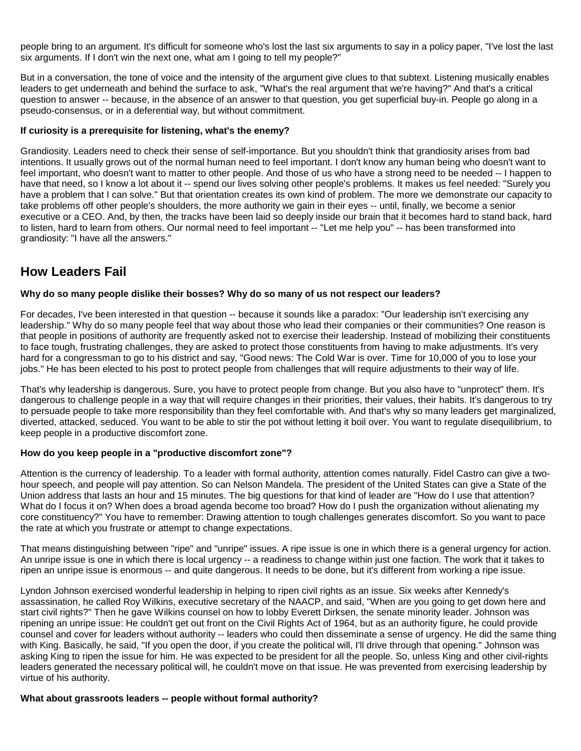people bring to an argument. It's difficult for someone who's lost the last six arguments to say in a policy paper, "I've lost the last six arguments. If I don't win the next one, what am I going to tell my people?"

But in a conversation, the tone of voice and the intensity of the argument give clues to that subtext. Listening musically enables leaders to get underneath and behind the surface to ask, "What's the real argument that we're having?" And that's a critical question to answer -- because, in the absence of an answer to that question, you get superficial buy-in. People go along in a pseudo-consensus, or in a deferential way, but without commitment.

#### **If curiosity is a prerequisite for listening, what's the enemy?**

Grandiosity. Leaders need to check their sense of self-importance. But you shouldn't think that grandiosity arises from bad intentions. It usually grows out of the normal human need to feel important. I don't know any human being who doesn't want to feel important, who doesn't want to matter to other people. And those of us who have a strong need to be needed -- I happen to have that need, so I know a lot about it -- spend our lives solving other people's problems. It makes us feel needed: "Surely you have a problem that I can solve." But that orientation creates its own kind of problem. The more we demonstrate our capacity to take problems off other people's shoulders, the more authority we gain in their eyes -- until, finally, we become a senior executive or a CEO. And, by then, the tracks have been laid so deeply inside our brain that it becomes hard to stand back, hard to listen, hard to learn from others. Our normal need to feel important -- "Let me help you" -- has been transformed into grandiosity: "I have all the answers."

## **How Leaders Fail**

### **Why do so many people dislike their bosses? Why do so many of us not respect our leaders?**

For decades, I've been interested in that question -- because it sounds like a paradox: "Our leadership isn't exercising any leadership." Why do so many people feel that way about those who lead their companies or their communities? One reason is that people in positions of authority are frequently asked not to exercise their leadership. Instead of mobilizing their constituents to face tough, frustrating challenges, they are asked to protect those constituents from having to make adjustments. It's very hard for a congressman to go to his district and say, "Good news: The Cold War is over. Time for 10,000 of you to lose your jobs." He has been elected to his post to protect people from challenges that will require adjustments to their way of life.

That's why leadership is dangerous. Sure, you have to protect people from change. But you also have to "unprotect" them. It's dangerous to challenge people in a way that will require changes in their priorities, their values, their habits. It's dangerous to try to persuade people to take more responsibility than they feel comfortable with. And that's why so many leaders get marginalized, diverted, attacked, seduced. You want to be able to stir the pot without letting it boil over. You want to regulate disequilibrium, to keep people in a productive discomfort zone.

#### **How do you keep people in a "productive discomfort zone"?**

Attention is the currency of leadership. To a leader with formal authority, attention comes naturally. Fidel Castro can give a twohour speech, and people will pay attention. So can Nelson Mandela. The president of the United States can give a State of the Union address that lasts an hour and 15 minutes. The big questions for that kind of leader are "How do I use that attention? What do I focus it on? When does a broad agenda become too broad? How do I push the organization without alienating my core constituency?" You have to remember: Drawing attention to tough challenges generates discomfort. So you want to pace the rate at which you frustrate or attempt to change expectations.

That means distinguishing between "ripe" and "unripe" issues. A ripe issue is one in which there is a general urgency for action. An unripe issue is one in which there is local urgency -- a readiness to change within just one faction. The work that it takes to ripen an unripe issue is enormous -- and quite dangerous. It needs to be done, but it's different from working a ripe issue.

Lyndon Johnson exercised wonderful leadership in helping to ripen civil rights as an issue. Six weeks after Kennedy's assassination, he called Roy Wilkins, executive secretary of the NAACP, and said, "When are you going to get down here and start civil rights?" Then he gave Wilkins counsel on how to lobby Everett Dirksen, the senate minority leader. Johnson was ripening an unripe issue: He couldn't get out front on the Civil Rights Act of 1964, but as an authority figure, he could provide counsel and cover for leaders without authority -- leaders who could then disseminate a sense of urgency. He did the same thing with King. Basically, he said, "If you open the door, if you create the political will, I'll drive through that opening." Johnson was asking King to ripen the issue for him. He was expected to be president for all the people. So, unless King and other civil-rights leaders generated the necessary political will, he couldn't move on that issue. He was prevented from exercising leadership by virtue of his authority.

#### **What about grassroots leaders -- people without formal authority?**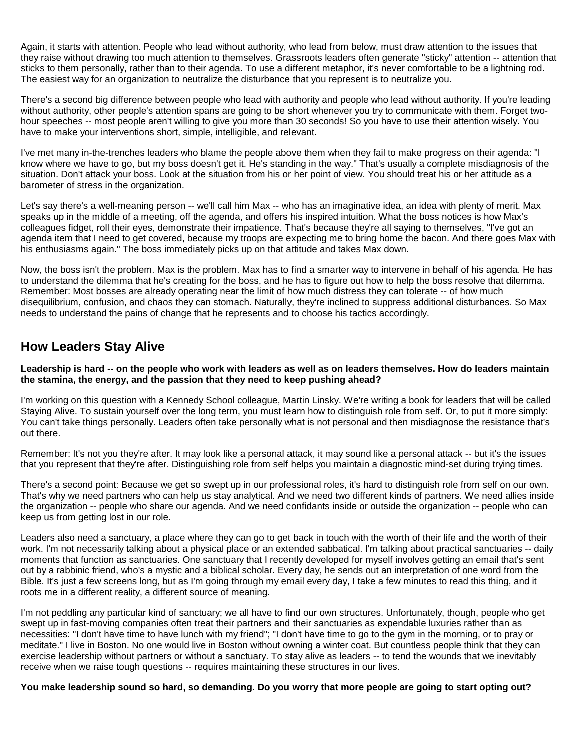Again, it starts with attention. People who lead without authority, who lead from below, must draw attention to the issues that they raise without drawing too much attention to themselves. Grassroots leaders often generate "sticky" attention -- attention that sticks to them personally, rather than to their agenda. To use a different metaphor, it's never comfortable to be a lightning rod. The easiest way for an organization to neutralize the disturbance that you represent is to neutralize you.

There's a second big difference between people who lead with authority and people who lead without authority. If you're leading without authority, other people's attention spans are going to be short whenever you try to communicate with them. Forget twohour speeches -- most people aren't willing to give you more than 30 seconds! So you have to use their attention wisely. You have to make your interventions short, simple, intelligible, and relevant.

I've met many in-the-trenches leaders who blame the people above them when they fail to make progress on their agenda: "I know where we have to go, but my boss doesn't get it. He's standing in the way." That's usually a complete misdiagnosis of the situation. Don't attack your boss. Look at the situation from his or her point of view. You should treat his or her attitude as a barometer of stress in the organization.

Let's say there's a well-meaning person -- we'll call him Max -- who has an imaginative idea, an idea with plenty of merit. Max speaks up in the middle of a meeting, off the agenda, and offers his inspired intuition. What the boss notices is how Max's colleagues fidget, roll their eyes, demonstrate their impatience. That's because they're all saying to themselves, "I've got an agenda item that I need to get covered, because my troops are expecting me to bring home the bacon. And there goes Max with his enthusiasms again." The boss immediately picks up on that attitude and takes Max down.

Now, the boss isn't the problem. Max is the problem. Max has to find a smarter way to intervene in behalf of his agenda. He has to understand the dilemma that he's creating for the boss, and he has to figure out how to help the boss resolve that dilemma. Remember: Most bosses are already operating near the limit of how much distress they can tolerate -- of how much disequilibrium, confusion, and chaos they can stomach. Naturally, they're inclined to suppress additional disturbances. So Max needs to understand the pains of change that he represents and to choose his tactics accordingly.

# **How Leaders Stay Alive**

**Leadership is hard -- on the people who work with leaders as well as on leaders themselves. How do leaders maintain the stamina, the energy, and the passion that they need to keep pushing ahead?**

I'm working on this question with a Kennedy School colleague, Martin Linsky. We're writing a book for leaders that will be called Staying Alive. To sustain yourself over the long term, you must learn how to distinguish role from self. Or, to put it more simply: You can't take things personally. Leaders often take personally what is not personal and then misdiagnose the resistance that's out there.

Remember: It's not you they're after. It may look like a personal attack, it may sound like a personal attack -- but it's the issues that you represent that they're after. Distinguishing role from self helps you maintain a diagnostic mind-set during trying times.

There's a second point: Because we get so swept up in our professional roles, it's hard to distinguish role from self on our own. That's why we need partners who can help us stay analytical. And we need two different kinds of partners. We need allies inside the organization -- people who share our agenda. And we need confidants inside or outside the organization -- people who can keep us from getting lost in our role.

Leaders also need a sanctuary, a place where they can go to get back in touch with the worth of their life and the worth of their work. I'm not necessarily talking about a physical place or an extended sabbatical. I'm talking about practical sanctuaries -- daily moments that function as sanctuaries. One sanctuary that I recently developed for myself involves getting an email that's sent out by a rabbinic friend, who's a mystic and a biblical scholar. Every day, he sends out an interpretation of one word from the Bible. It's just a few screens long, but as I'm going through my email every day, I take a few minutes to read this thing, and it roots me in a different reality, a different source of meaning.

I'm not peddling any particular kind of sanctuary; we all have to find our own structures. Unfortunately, though, people who get swept up in fast-moving companies often treat their partners and their sanctuaries as expendable luxuries rather than as necessities: "I don't have time to have lunch with my friend"; "I don't have time to go to the gym in the morning, or to pray or meditate." I live in Boston. No one would live in Boston without owning a winter coat. But countless people think that they can exercise leadership without partners or without a sanctuary. To stay alive as leaders -- to tend the wounds that we inevitably receive when we raise tough questions -- requires maintaining these structures in our lives.

**You make leadership sound so hard, so demanding. Do you worry that more people are going to start opting out?**